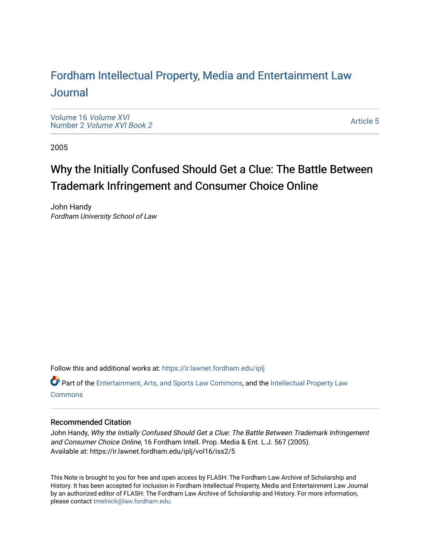# For[dham Intellectual Property, Media and Enter](https://ir.lawnet.fordham.edu/iplj)tainment Law [Journal](https://ir.lawnet.fordham.edu/iplj)

[Volume 16](https://ir.lawnet.fordham.edu/iplj/vol16) Volume XVI Number 2 [Volume XVI Book 2](https://ir.lawnet.fordham.edu/iplj/vol16/iss2)

[Article 5](https://ir.lawnet.fordham.edu/iplj/vol16/iss2/5) 

2005

# Why the Initially Confused Should Get a Clue: The Battle Between Trademark Infringement and Consumer Choice Online

John Handy Fordham University School of Law

Follow this and additional works at: [https://ir.lawnet.fordham.edu/iplj](https://ir.lawnet.fordham.edu/iplj?utm_source=ir.lawnet.fordham.edu%2Fiplj%2Fvol16%2Fiss2%2F5&utm_medium=PDF&utm_campaign=PDFCoverPages) 

Part of the [Entertainment, Arts, and Sports Law Commons](http://network.bepress.com/hgg/discipline/893?utm_source=ir.lawnet.fordham.edu%2Fiplj%2Fvol16%2Fiss2%2F5&utm_medium=PDF&utm_campaign=PDFCoverPages), and the [Intellectual Property Law](http://network.bepress.com/hgg/discipline/896?utm_source=ir.lawnet.fordham.edu%2Fiplj%2Fvol16%2Fiss2%2F5&utm_medium=PDF&utm_campaign=PDFCoverPages) **[Commons](http://network.bepress.com/hgg/discipline/896?utm_source=ir.lawnet.fordham.edu%2Fiplj%2Fvol16%2Fiss2%2F5&utm_medium=PDF&utm_campaign=PDFCoverPages)** 

# Recommended Citation

John Handy, Why the Initially Confused Should Get a Clue: The Battle Between Trademark Infringement and Consumer Choice Online, 16 Fordham Intell. Prop. Media & Ent. L.J. 567 (2005). Available at: https://ir.lawnet.fordham.edu/iplj/vol16/iss2/5

This Note is brought to you for free and open access by FLASH: The Fordham Law Archive of Scholarship and History. It has been accepted for inclusion in Fordham Intellectual Property, Media and Entertainment Law Journal by an authorized editor of FLASH: The Fordham Law Archive of Scholarship and History. For more information, please contact [tmelnick@law.fordham.edu](mailto:tmelnick@law.fordham.edu).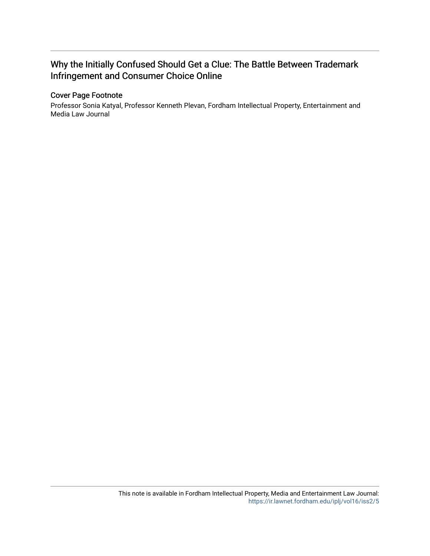# Why the Initially Confused Should Get a Clue: The Battle Between Trademark Infringement and Consumer Choice Online

# Cover Page Footnote

Professor Sonia Katyal, Professor Kenneth Plevan, Fordham Intellectual Property, Entertainment and Media Law Journal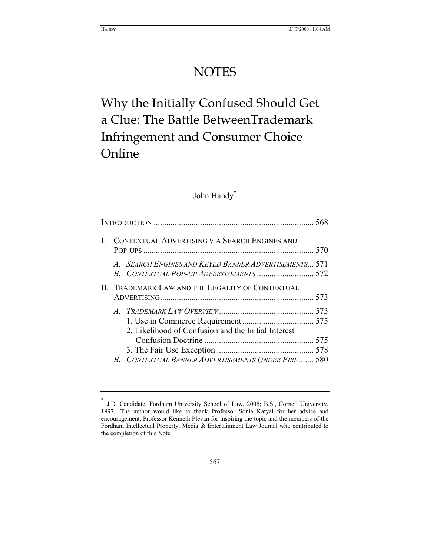# **NOTES**

# Why the Initially Confused Should Get a Clue: The Battle BetweenTrademark Infringement and Consumer Choice Online

# John Handy<sup>\*</sup>

| CONTEXTUAL ADVERTISING VIA SEARCH ENGINES AND    |                                                                                                       |  |
|--------------------------------------------------|-------------------------------------------------------------------------------------------------------|--|
| $\overline{A}$                                   | <b>SEARCH ENGINES AND KEYED BANNER ADVERTISEMENTS 571</b><br>B. CONTEXTUAL POP-UP ADVERTISEMENTS  572 |  |
| II. TRADEMARK LAW AND THE LEGALITY OF CONTEXTUAL |                                                                                                       |  |
|                                                  | 2. Likelihood of Confusion and the Initial Interest                                                   |  |
|                                                  | <b>B. CONTEXTUAL BANNER ADVERTISEMENTS UNDER FIRE 580</b>                                             |  |

J.D. Candidate, Fordham University School of Law, 2006; B.S., Cornell University, 1997. The author would like to thank Professor Sonia Katyal for her advice and encouragement, Professor Kenneth Plevan for inspiring the topic and the members of the Fordham Intellectual Property, Media & Entertainment Law Journal who contributed to the completion of this Note.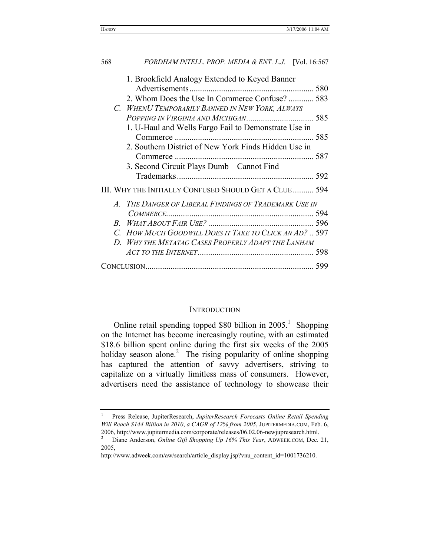| 568           | FORDHAM INTELL. PROP. MEDIA & ENT. L.J. [Vol. 16:567   |  |
|---------------|--------------------------------------------------------|--|
|               | 1. Brookfield Analogy Extended to Keyed Banner         |  |
|               | 2. Whom Does the Use In Commerce Confuse?  583         |  |
| $\mathcal{C}$ | <b>WHENU TEMPORARILY BANNED IN NEW YORK, ALWAYS</b>    |  |
|               |                                                        |  |
|               | 1. U-Haul and Wells Fargo Fail to Demonstrate Use in   |  |
|               |                                                        |  |
|               | 2. Southern District of New York Finds Hidden Use in   |  |
|               |                                                        |  |
|               | 3. Second Circuit Plays Dumb—Cannot Find               |  |
|               |                                                        |  |
|               | III. WHY THE INITIALLY CONFUSED SHOULD GET A CLUE  594 |  |
|               | A. THE DANGER OF LIBERAL FINDINGS OF TRADEMARK USE IN  |  |
|               |                                                        |  |
|               |                                                        |  |
|               | C. HOW MUCH GOODWILL DOES IT TAKE TO CLICK AN AD?  597 |  |
|               | D. WHY THE METATAG CASES PROPERLY ADAPT THE LANHAM     |  |
|               |                                                        |  |
|               |                                                        |  |

# **INTRODUCTION**

Online retail spending topped \$80 billion in  $2005<sup>1</sup>$ . Shopping on the Internet has become increasingly routine, with an estimated \$18.6 billion spent online during the first six weeks of the 2005 holiday season alone.<sup>2</sup> The rising popularity of online shopping has captured the attention of savvy advertisers, striving to capitalize on a virtually limitless mass of consumers. However, advertisers need the assistance of technology to showcase their

<sup>1</sup> Press Release, JupiterResearch, *JupiterResearch Forecasts Online Retail Spending Will Reach \$144 Billion in 2010*, *a CAGR of 12% from 2005*, JUPITERMEDIA.COM, Feb. 6, 2006, http://www.jupitermedia.com/corporate/releases/06.02.06-newjupresearch.html. 2

Diane Anderson, *Online Gift Shopping Up 16% This Year*, ADWEEK.COM, Dec. 21, 2005,

http://www.adweek.com/aw/search/article\_display.jsp?vnu\_content\_id=1001736210.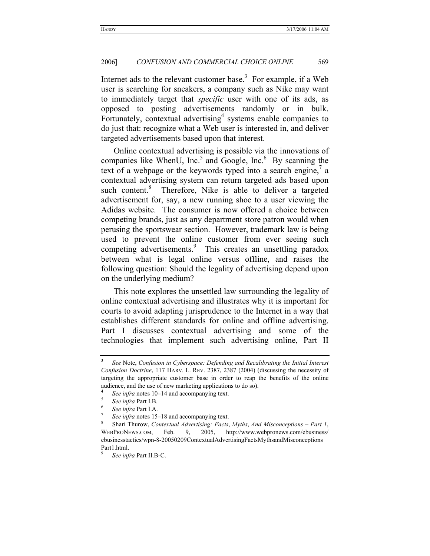Internet ads to the relevant customer base.<sup>3</sup> For example, if a Web user is searching for sneakers, a company such as Nike may want to immediately target that *specific* user with one of its ads, as opposed to posting advertisements randomly or in bulk. Fortunately, contextual advertising<sup>4</sup> systems enable companies to do just that: recognize what a Web user is interested in, and deliver targeted advertisements based upon that interest.

Online contextual advertising is possible via the innovations of companies like WhenU,  $Inc<sup>5</sup>$  and Google,  $Inc<sup>6</sup>$  By scanning the text of a webpage or the keywords typed into a search engine, $7$  a contextual advertising system can return targeted ads based upon such content.<sup>8</sup> Therefore, Nike is able to deliver a targeted advertisement for, say, a new running shoe to a user viewing the Adidas website. The consumer is now offered a choice between competing brands, just as any department store patron would when perusing the sportswear section. However, trademark law is being used to prevent the online customer from ever seeing such competing advertisements.<sup>9</sup> This creates an unsettling paradox between what is legal online versus offline, and raises the following question: Should the legality of advertising depend upon on the underlying medium?

This note explores the unsettled law surrounding the legality of online contextual advertising and illustrates why it is important for courts to avoid adapting jurisprudence to the Internet in a way that establishes different standards for online and offline advertising. Part I discusses contextual advertising and some of the technologies that implement such advertising online, Part II

<sup>3</sup>  *See* Note, *Confusion in Cyberspace: Defending and Recalibrating the Initial Interest Confusion Doctrine*, 117 HARV. L. REV. 2387, 2387 (2004) (discussing the necessity of targeting the appropriate customer base in order to reap the benefits of the online audience, and the use of new marketing applications to do so). 4

*See infra* notes 10–14 and accompanying text.

*See infra* Part I.B. 6

*See infra* Part I.A. 7

*See infra* notes 15–18 and accompanying text.

Shari Thurow, *Contextual Advertising: Facts*, *Myths*, *And Misconceptions – Part 1*, WEBPRONEWS.COM, Feb. 9, 2005, http://www.webpronews.com/ebusiness/ ebusinesstactics/wpn-8-20050209ContextualAdvertisingFactsMythsandMisconceptions Part1.html.

<sup>9</sup>  *See infra* Part II.B-C.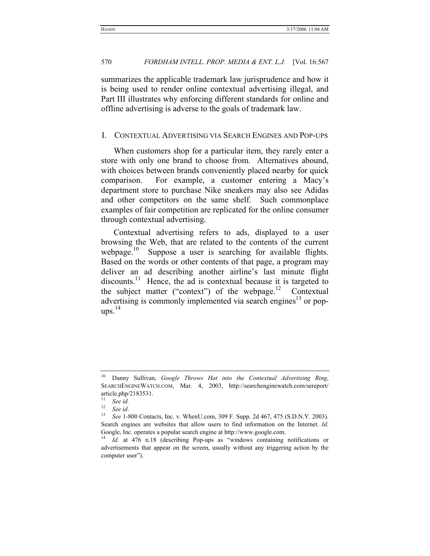summarizes the applicable trademark law jurisprudence and how it is being used to render online contextual advertising illegal, and Part III illustrates why enforcing different standards for online and offline advertising is adverse to the goals of trademark law.

# I. CONTEXTUAL ADVERTISING VIA SEARCH ENGINES AND POP-UPS

When customers shop for a particular item, they rarely enter a store with only one brand to choose from. Alternatives abound, with choices between brands conveniently placed nearby for quick comparison. For example, a customer entering a Macy's department store to purchase Nike sneakers may also see Adidas and other competitors on the same shelf. Such commonplace examples of fair competition are replicated for the online consumer through contextual advertising.

Contextual advertising refers to ads, displayed to a user browsing the Web, that are related to the contents of the current webpage.<sup>10</sup> Suppose a user is searching for available flights. Based on the words or other contents of that page, a program may deliver an ad describing another airline's last minute flight discounts.<sup>11</sup> Hence, the ad is contextual because it is targeted to the subject matter ("context") of the webpage. $12$  Contextual advertising is commonly implemented via search engines<sup>13</sup> or pop- $_{\text{ups.}}^{14}$ 

<sup>10</sup> Danny Sullivan, *Google Throws Hat into the Contextual Advertising Ring*, SEARCHENGINEWATCH.COM, Mar. 4, 2003, http://searchenginewatch.com/sereport/ article.php/2183531.

 $\frac{11}{12}$  See id.

 $\frac{12}{13}$  See id.

<sup>13</sup> *See* 1-800 Contacts, Inc. v. WhenU.com, 309 F. Supp. 2d 467, 475 (S.D.N.Y. 2003). Search engines are websites that allow users to find information on the Internet. *Id*. Google, Inc. operates a popular search engine at http://www.google.com.<br><sup>14</sup> *Id.* at 476 n.18 (describing Pop-ups as "windows containing notifications or

advertisements that appear on the screen, usually without any triggering action by the computer user").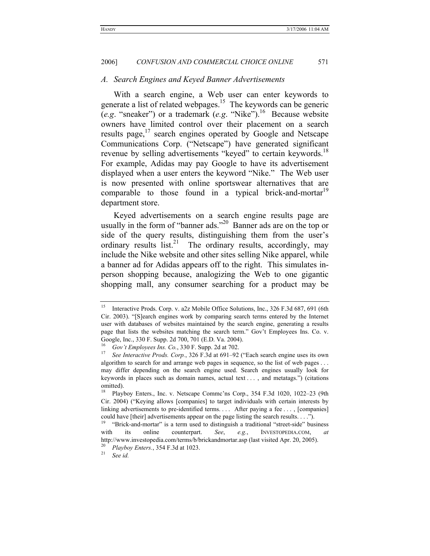#### *A. Search Engines and Keyed Banner Advertisements*

With a search engine, a Web user can enter keywords to generate a list of related webpages.<sup>15</sup> The keywords can be generic (*e.g*. "sneaker") or a trademark (*e.g*. "Nike").16 Because website owners have limited control over their placement on a search results page,<sup>17</sup> search engines operated by Google and Netscape Communications Corp. ("Netscape") have generated significant revenue by selling advertisements "keyed" to certain keywords.<sup>18</sup> For example, Adidas may pay Google to have its advertisement displayed when a user enters the keyword "Nike." The Web user is now presented with online sportswear alternatives that are comparable to those found in a typical brick-and-mortar<sup>19</sup> department store.

Keyed advertisements on a search engine results page are usually in the form of "banner ads."<sup>20</sup> Banner ads are on the top or side of the query results, distinguishing them from the user's ordinary results list.<sup>21</sup> The ordinary results, accordingly, may include the Nike website and other sites selling Nike apparel, while a banner ad for Adidas appears off to the right. This simulates inperson shopping because, analogizing the Web to one gigantic shopping mall, any consumer searching for a product may be

<sup>&</sup>lt;sup>15</sup> Interactive Prods. Corp. v. a2z Mobile Office Solutions, Inc., 326 F.3d 687, 691 (6th Cir. 2003). "[S]earch engines work by comparing search terms entered by the Internet user with databases of websites maintained by the search engine, generating a results page that lists the websites matching the search term." Gov't Employees Ins. Co. v. Google, Inc., 330 F. Supp. 2d 700, 701 (E.D. Va. 2004).<br><sup>16</sup> Gov't Employees Ins. Co., 330 F. Supp. 2d at 702.

<sup>&</sup>lt;sup>17</sup> See Interactive Prods. Corp., 326 F.3d at 691–92 ("Each search engine uses its own algorithm to search for and arrange web pages in sequence, so the list of web pages . . . may differ depending on the search engine used. Search engines usually look for keywords in places such as domain names, actual text . . . , and metatags.") (citations omitted).

<sup>18</sup> Playboy Enters., Inc. v. Netscape Commc'ns Corp., 354 F.3d 1020, 1022–23 (9th Cir. 2004) ("Keying allows [companies] to target individuals with certain interests by linking advertisements to pre-identified terms. . . . After paying a fee . . . , [companies] could have [their] advertisements appear on the page listing the search results.  $\dots$ "). <br><sup>19</sup> "Brick-and-mortar" is a term used to distinguish a traditional "street-side" business

with its online counterpart. *See*, *e.g.*, INVESTOPEDIA.COM, *at* http://www.investopedia.com/terms/b/brickandmortar.asp (last visited Apr. 20, 2005). 20 *Playboy Enters.*, 354 F.3d at 1023. 21 *See id.*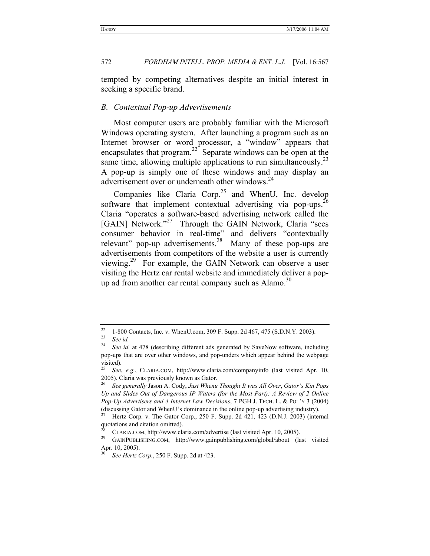tempted by competing alternatives despite an initial interest in seeking a specific brand.

#### *B. Contextual Pop-up Advertisements*

Most computer users are probably familiar with the Microsoft Windows operating system. After launching a program such as an Internet browser or word processor, a "window" appears that encapsulates that program.<sup>22</sup> Separate windows can be open at the same time, allowing multiple applications to run simultaneously.<sup>23</sup> A pop-up is simply one of these windows and may display an advertisement over or underneath other windows.<sup>24</sup>

Companies like Claria Corp.<sup>25</sup> and WhenU, Inc. develop software that implement contextual advertising via pop-ups.<sup>26</sup> Claria "operates a software-based advertising network called the [GAIN] Network."<sup>27</sup> Through the GAIN Network, Claria "sees consumer behavior in real-time" and delivers "contextually relevant" pop-up advertisements.<sup>28</sup> Many of these pop-ups are advertisements from competitors of the website a user is currently viewing.29 For example, the GAIN Network can observe a user visiting the Hertz car rental website and immediately deliver a popup ad from another car rental company such as Alamo. $^{30}$ 

<sup>&</sup>lt;sup>22</sup> 1-800 Contacts, Inc. v. WhenU.com, 309 F. Supp. 2d 467, 475 (S.D.N.Y. 2003).<br><sup>23</sup> See *id.*<br><sup>24</sup> See *id.* 1.478 (describing different ads separated by Sevellow seftware inclu

See id. at 478 (describing different ads generated by SaveNow software, including pop-ups that are over other windows, and pop-unders which appear behind the webpage visited).

<sup>25</sup> *See*, *e.g.*, CLARIA.COM, http://www.claria.com/companyinfo (last visited Apr. 10, 2005). Claria was previously known as Gator.

<sup>26</sup> *See generally* Jason A. Cody, *Just Whenu Thought It was All Over*, *Gator's Kin Pops Up and Slides Out of Dangerous IP Waters (for the Most Part): A Review of 2 Online Pop-Up Advertisers and 4 Internet Law Decisions*, 7 PGH J. TECH. L. & POL'Y 3 (2004) (discussing Gator and WhenU's dominance in the online pop-up advertising industry). 27 Hertz Corp. v. The Gator Corp., 250 F. Supp. 2d 421, 423 (D.N.J. 2003) (internal

quotations and citation omitted).

<sup>&</sup>lt;sup>28</sup> CLARIA.COM, http://www.claria.com/advertise (last visited Apr. 10, 2005).<br><sup>29</sup> GAINPUBLISHING.COM, http://www.gainpublishing.com/global/about (last visited Apr. 10, 2005).

<sup>30</sup> *See Hertz Corp.*, 250 F. Supp. 2d at 423.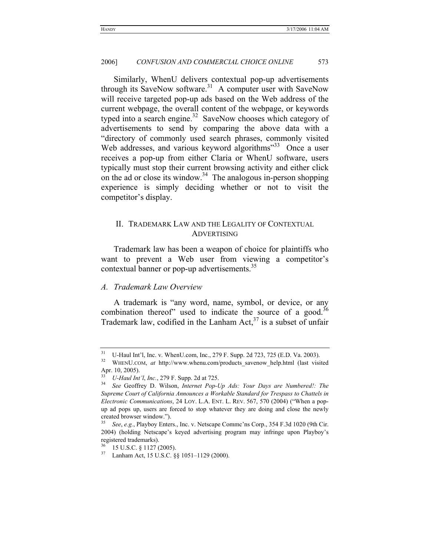Similarly, WhenU delivers contextual pop-up advertisements through its SaveNow software.<sup>31</sup> A computer user with SaveNow will receive targeted pop-up ads based on the Web address of the current webpage, the overall content of the webpage, or keywords typed into a search engine. $32$  SaveNow chooses which category of advertisements to send by comparing the above data with a "directory of commonly used search phrases, commonly visited Web addresses, and various keyword algorithms<sup>33</sup> Once a user receives a pop-up from either Claria or WhenU software, users typically must stop their current browsing activity and either click on the ad or close its window.<sup>34</sup> The analogous in-person shopping experience is simply deciding whether or not to visit the competitor's display.

# II. TRADEMARK LAW AND THE LEGALITY OF CONTEXTUAL ADVERTISING

Trademark law has been a weapon of choice for plaintiffs who want to prevent a Web user from viewing a competitor's contextual banner or pop-up advertisements.<sup>35</sup>

# *A. Trademark Law Overview*

A trademark is "any word, name, symbol, or device, or any combination thereof" used to indicate the source of a good.<sup>36</sup> Trademark law, codified in the Lanham Act, $37$  is a subset of unfair

<sup>&</sup>lt;sup>31</sup> U-Haul Int'l, Inc. v. WhenU.com, Inc., 279 F. Supp. 2d 723, 725 (E.D. Va. 2003).<br><sup>32</sup> WHENU.COM, *at* http://www.whenu.com/products\_savenow\_help.html (last visited

Apr. 10, 2005).

<sup>33</sup> *U-Haul Int'l*, *Inc.*, 279 F. Supp. 2d at 725. 34 *See* Geoffrey D. Wilson, *Internet Pop-Up Ads: Your Days are Numbered!: The Supreme Court of California Announces a Workable Standard for Trespass to Chattels in Electronic Communications*, 24 LOY. L.A. ENT. L. REV. 567, 570 (2004) ("When a popup ad pops up, users are forced to stop whatever they are doing and close the newly created browser window.").

<sup>35</sup> *See*, *e.g.*, Playboy Enters., Inc. v. Netscape Commc'ns Corp., 354 F.3d 1020 (9th Cir. 2004) (holding Netscape's keyed advertising program may infringe upon Playboy's registered trademarks).

 $\frac{36}{37}$  15 U.S.C. § 1127 (2005).

Lanham Act, 15 U.S.C. §§ 1051-1129 (2000).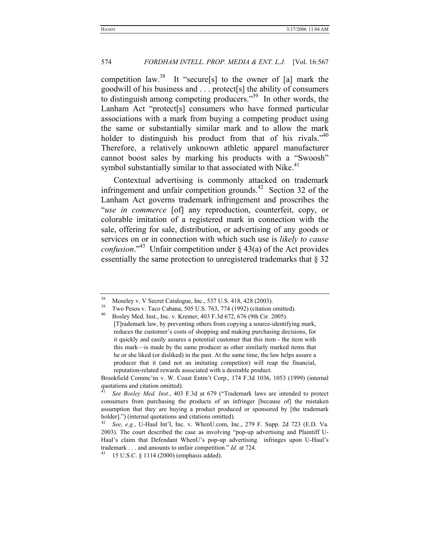competition law.<sup>38</sup> It "secure[s] to the owner of [a] mark the goodwill of his business and . . . protect[s] the ability of consumers to distinguish among competing producers.<sup>39</sup> In other words, the Lanham Act "protect[s] consumers who have formed particular associations with a mark from buying a competing product using the same or substantially similar mark and to allow the mark holder to distinguish his product from that of his rivals."<sup>40</sup> Therefore, a relatively unknown athletic apparel manufacturer cannot boost sales by marking his products with a "Swoosh" symbol substantially similar to that associated with Nike. $41$ 

Contextual advertising is commonly attacked on trademark infringement and unfair competition grounds.<sup>42</sup> Section 32 of the Lanham Act governs trademark infringement and proscribes the "*use in commerce* [of] any reproduction, counterfeit, copy, or colorable imitation of a registered mark in connection with the sale, offering for sale, distribution, or advertising of any goods or services on or in connection with which such use is *likely to cause confusion*."43 Unfair competition under § 43(a) of the Act provides essentially the same protection to unregistered trademarks that § 32

Brookfield Commc'ns v. W. Coast Entm't Corp., 174 F.3d 1036, 1053 (1999) (internal quotations and citation omitted).

<sup>&</sup>lt;sup>38</sup> Moseley v. V Secret Catalogue, Inc., 537 U.S. 418, 428 (2003).<br><sup>39</sup> Two Pesos v. Taco Cabana, 505 U.S. 763, 774 (1992) (citation omitted).<br><sup>40</sup> Peslav Med Just, Just Venus 403 E 34 (32, 636 (0th Girl 2005).

<sup>40</sup> Bosley Med. Inst., Inc. v. Kremer, 403 F.3d 672, 676 (9th Cir. 2005). [T]rademark law, by preventing others from copying a source-identifying mark, reduces the customer's costs of shopping and making purchasing decisions, for it quickly and easily assures a potential customer that this item - the item with this mark—is made by the same producer as other similarly marked items that he or she liked (or disliked) in the past. At the same time, the law helps assure a producer that it (and not an imitating competitor) will reap the financial, reputation-related rewards associated with a desirable product.

<sup>41</sup> *See Bosley Med. Inst.*, 403 F.3d at 679 ("Trademark laws are intended to protect consumers from purchasing the products of an infringer [because of] the mistaken assumption that they are buying a product produced or sponsored by [the trademark holder].") (internal quotations and citations omitted).<br><sup>42</sup> *See*, *e.g.*, U-Haul Int'l, Inc. v. WhenU.com, Inc., 279 F. Supp. 2d 723 (E.D. Va.

<sup>2003).</sup> The court described the case as involving "pop-up advertising and Plaintiff U-Haul's claim that Defendant WhenU's pop-up advertising infringes upon U-Haul's trademark . . . and amounts to unfair competition." *Id.* at 724.<br><sup>43</sup> 15 U.S.C. § 1114 (2000) (emphasis added).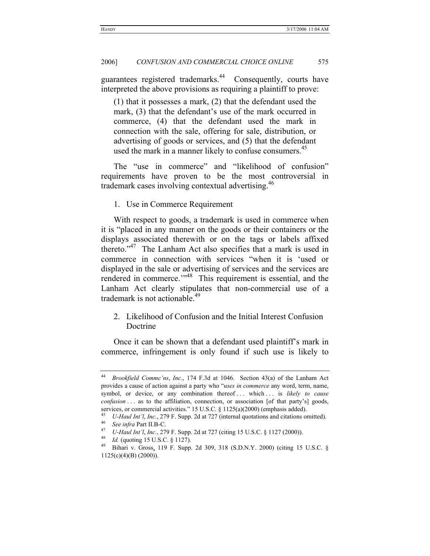guarantees registered trademarks.<sup>44</sup> Consequently, courts have interpreted the above provisions as requiring a plaintiff to prove:

(1) that it possesses a mark, (2) that the defendant used the mark, (3) that the defendant's use of the mark occurred in commerce, (4) that the defendant used the mark in connection with the sale, offering for sale, distribution, or advertising of goods or services, and (5) that the defendant used the mark in a manner likely to confuse consumers.<sup>45</sup>

The "use in commerce" and "likelihood of confusion" requirements have proven to be the most controversial in trademark cases involving contextual advertising.<sup>46</sup>

1. Use in Commerce Requirement

With respect to goods, a trademark is used in commerce when it is "placed in any manner on the goods or their containers or the displays associated therewith or on the tags or labels affixed thereto."<sup>47</sup> The Lanham Act also specifies that a mark is used in commerce in connection with services "when it is 'used or displayed in the sale or advertising of services and the services are rendered in commerce."<sup>48</sup> This requirement is essential, and the Lanham Act clearly stipulates that non-commercial use of a trademark is not actionable.<sup>49</sup>

2. Likelihood of Confusion and the Initial Interest Confusion Doctrine

Once it can be shown that a defendant used plaintiff's mark in commerce, infringement is only found if such use is likely to

<sup>44</sup> *Brookfield Commc'ns*, *Inc*., 174 F.3d at 1046. Section 43(a) of the Lanham Act provides a cause of action against a party who "*uses in commerce* any word, term, name, symbol, or device, or any combination thereof . . . which . . . is *likely to cause confusion* . . . as to the affiliation, connection, or association [of that party's] goods,

services, or commercial activities." 15 U.S.C. § 1125(a)(2000) (emphasis added).<br>
<sup>45</sup> *U-Haul Int'l, Inc.*, 279 F. Supp. 2d at 727 (internal quotations and citations omitted).<br>
<sup>46</sup> *See infra* Part II.B-C.<br> *U-Haul Int'* 

<sup>1125(</sup>c)(4)(B) (2000)).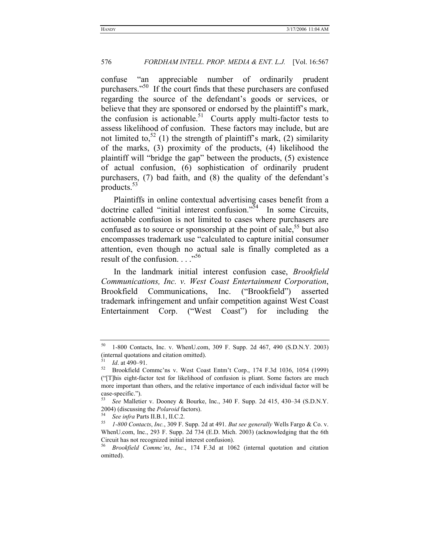confuse "an appreciable number of ordinarily prudent purchasers."<sup>50</sup> If the court finds that these purchasers are confused regarding the source of the defendant's goods or services, or believe that they are sponsored or endorsed by the plaintiff's mark, the confusion is actionable.<sup>51</sup> Courts apply multi-factor tests to assess likelihood of confusion. These factors may include, but are not limited to,<sup>52</sup> (1) the strength of plaintiff's mark, (2) similarity of the marks, (3) proximity of the products, (4) likelihood the plaintiff will "bridge the gap" between the products, (5) existence of actual confusion, (6) sophistication of ordinarily prudent purchasers, (7) bad faith, and (8) the quality of the defendant's products.53

Plaintiffs in online contextual advertising cases benefit from a doctrine called "initial interest confusion." $54$  In some Circuits, actionable confusion is not limited to cases where purchasers are confused as to source or sponsorship at the point of sale,  $55$  but also encompasses trademark use "calculated to capture initial consumer attention, even though no actual sale is finally completed as a result of the confusion.  $\ldots$ <sup>56</sup>

In the landmark initial interest confusion case, *Brookfield Communications, Inc. v. West Coast Entertainment Corporation*, Brookfield Communications, Inc. ("Brookfield") asserted trademark infringement and unfair competition against West Coast Entertainment Corp. ("West Coast") for including the

<sup>50 1-800</sup> Contacts, Inc. v. WhenU.com, 309 F. Supp. 2d 467, 490 (S.D.N.Y. 2003) (internal quotations and citation omitted).

<sup>51</sup> *Id*. at 490–91. 52 Brookfield Commc'ns v. West Coast Entm't Corp., 174 F.3d 1036, 1054 (1999) ("[T]his eight-factor test for likelihood of confusion is pliant. Some factors are much more important than others, and the relative importance of each individual factor will be case-specific.").

<sup>53</sup> *See* Malletier v. Dooney & Bourke, Inc., 340 F. Supp. 2d 415, 430–34 (S.D.N.Y. 2004) (discussing the *Polaroid* factors). 54 *See infra* Parts II.B.1, II.C.2. 55 *1-800 Contacts*, *Inc.*, 309 F. Supp. 2d at 491. *But see generally* Wells Fargo & Co. v.

WhenU.com, Inc., 293 F. Supp. 2d 734 (E.D. Mich. 2003) (acknowledging that the 6th Circuit has not recognized initial interest confusion). 56 *Brookfield Commc'ns*, *Inc*., 174 F.3d at 1062 (internal quotation and citation

omitted).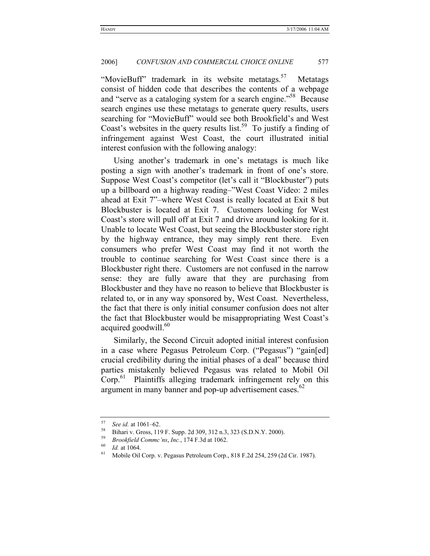"MovieBuff" trademark in its website metatags.<sup>57</sup> Metatags consist of hidden code that describes the contents of a webpage and "serve as a cataloging system for a search engine."<sup>58</sup> Because search engines use these metatags to generate query results, users searching for "MovieBuff" would see both Brookfield's and West Coast's websites in the query results list.<sup>59</sup> To justify a finding of infringement against West Coast, the court illustrated initial interest confusion with the following analogy:

Using another's trademark in one's metatags is much like posting a sign with another's trademark in front of one's store. Suppose West Coast's competitor (let's call it "Blockbuster") puts up a billboard on a highway reading–"West Coast Video: 2 miles ahead at Exit 7"–where West Coast is really located at Exit 8 but Blockbuster is located at Exit 7. Customers looking for West Coast's store will pull off at Exit 7 and drive around looking for it. Unable to locate West Coast, but seeing the Blockbuster store right by the highway entrance, they may simply rent there. Even consumers who prefer West Coast may find it not worth the trouble to continue searching for West Coast since there is a Blockbuster right there. Customers are not confused in the narrow sense: they are fully aware that they are purchasing from Blockbuster and they have no reason to believe that Blockbuster is related to, or in any way sponsored by, West Coast. Nevertheless, the fact that there is only initial consumer confusion does not alter the fact that Blockbuster would be misappropriating West Coast's acquired goodwill.<sup>60</sup>

Similarly, the Second Circuit adopted initial interest confusion in a case where Pegasus Petroleum Corp. ("Pegasus") "gain[ed] crucial credibility during the initial phases of a deal" because third parties mistakenly believed Pegasus was related to Mobil Oil Corp.<sup>61</sup> Plaintiffs alleging trademark infringement rely on this argument in many banner and pop-up advertisement cases. $62$ 

<sup>&</sup>lt;sup>57</sup> See id. at 1061–62.<br>
<sup>58</sup> Bihari v. Gross, 119 F. Supp. 2d 309, 312 n.3, 323 (S.D.N.Y. 2000).<br>
<sup>59</sup> Brookfield Commc'ns, Inc., 174 F.3d at 1062.<br>
<sup>60</sup> Id. at 1064.<br>
Mobile Oil Corp. v. Pegasus Petroleum Corp., 818 F.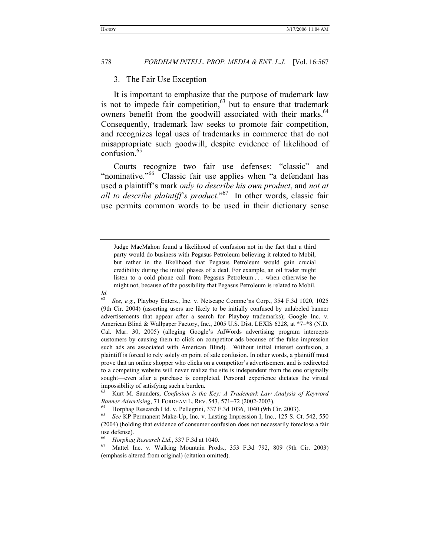#### 3. The Fair Use Exception

It is important to emphasize that the purpose of trademark law is not to impede fair competition, $63$  but to ensure that trademark owners benefit from the goodwill associated with their marks.<sup>64</sup> Consequently, trademark law seeks to promote fair competition, and recognizes legal uses of trademarks in commerce that do not misappropriate such goodwill, despite evidence of likelihood of confusion. $65$ 

Courts recognize two fair use defenses: "classic" and "nominative."<sup>66</sup> Classic fair use applies when "a defendant has used a plaintiff's mark *only to describe his own product*, and *not at all to describe plaintiff's product*."67 In other words, classic fair use permits common words to be used in their dictionary sense

Judge MacMahon found a likelihood of confusion not in the fact that a third party would do business with Pegasus Petroleum believing it related to Mobil, but rather in the likelihood that Pegasus Petroleum would gain crucial credibility during the initial phases of a deal. For example, an oil trader might listen to a cold phone call from Pegasus Petroleum . . . when otherwise he might not, because of the possibility that Pegasus Petroleum is related to Mobil.

*Id.*

<sup>62</sup> *See*, *e.g.*, Playboy Enters., Inc. v. Netscape Commc'ns Corp., 354 F.3d 1020, 1025 (9th Cir. 2004) (asserting users are likely to be initially confused by unlabeled banner advertisements that appear after a search for Playboy trademarks); Google Inc. v. American Blind & Wallpaper Factory, Inc., 2005 U.S. Dist. LEXIS 6228, at \*7–\*8 (N.D. Cal. Mar. 30, 2005) (alleging Google's AdWords advertising program intercepts customers by causing them to click on competitor ads because of the false impression such ads are associated with American Blind). Without initial interest confusion, a plaintiff is forced to rely solely on point of sale confusion. In other words, a plaintiff must prove that an online shopper who clicks on a competitor's advertisement and is redirected to a competing website will never realize the site is independent from the one originally sought—even after a purchase is completed. Personal experience dictates the virtual impossibility of satisfying such a burden.

<sup>63</sup> Kurt M. Saunders, *Confusion is the Key: A Trademark Law Analysis of Keyword Banner Advertising*, 71 FORDHAM L. REV. 543, 571–72 (2002-2003).<br><sup>64</sup> Horphag Research Ltd. v. Pellegrini, 337 F.3d 1036, 1040 (9th Cir. 2003).<br><sup>65</sup> See K.P. Permanent Make Un. Inc. v. Lasting Impression L. Inc. 125 S. C.

<sup>65</sup> *See* KP Permanent Make-Up, Inc. v. Lasting Impression I, Inc., 125 S. Ct. 542, 550 (2004) (holding that evidence of consumer confusion does not necessarily foreclose a fair use defense).

<sup>&</sup>lt;sup>66</sup> *Horphag Research Ltd.*, 337 F.3d at 1040.<br><sup>67</sup> Mattel Inc. v. Walking Mountain Prods., 353 F.3d 792, 809 (9th Cir. 2003) (emphasis altered from original) (citation omitted).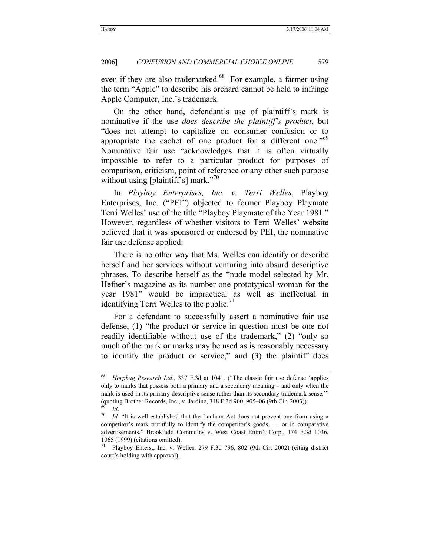even if they are also trademarked.<sup>68</sup> For example, a farmer using the term "Apple" to describe his orchard cannot be held to infringe Apple Computer, Inc.'s trademark.

On the other hand, defendant's use of plaintiff's mark is nominative if the use *does describe the plaintiff's product*, but "does not attempt to capitalize on consumer confusion or to appropriate the cachet of one product for a different one."<sup>69</sup> Nominative fair use "acknowledges that it is often virtually impossible to refer to a particular product for purposes of comparison, criticism, point of reference or any other such purpose without using [plaintiff's] mark."<sup>70</sup>

In *Playboy Enterprises, Inc. v. Terri Welles*, Playboy Enterprises, Inc. ("PEI") objected to former Playboy Playmate Terri Welles' use of the title "Playboy Playmate of the Year 1981." However, regardless of whether visitors to Terri Welles' website believed that it was sponsored or endorsed by PEI, the nominative fair use defense applied:

There is no other way that Ms. Welles can identify or describe herself and her services without venturing into absurd descriptive phrases. To describe herself as the "nude model selected by Mr. Hefner's magazine as its number-one prototypical woman for the year 1981" would be impractical as well as ineffectual in identifying Terri Welles to the public. $\frac{71}{1}$ 

For a defendant to successfully assert a nominative fair use defense, (1) "the product or service in question must be one not readily identifiable without use of the trademark," (2) "only so much of the mark or marks may be used as is reasonably necessary to identify the product or service," and (3) the plaintiff does

<sup>68</sup> *Horphag Research Ltd*., 337 F.3d at 1041. ("The classic fair use defense 'applies only to marks that possess both a primary and a secondary meaning – and only when the mark is used in its primary descriptive sense rather than its secondary trademark sense.'" (quoting Brother Records, Inc., v. Jardine, 318 F.3d 900, 905–06 (9th Cir. 2003)).

<sup>&</sup>lt;sup>69</sup> *Id.* "It is well established that the Lanham Act does not prevent one from using a <sup>70</sup> *Id.* "It is well established that the Lanham Act does not prevent one from using a competitor's mark truthfully to identify the competitor's goods, . . . or in comparative advertisements." Brookfield Commc'ns v. West Coast Entm't Corp., 174 F.3d 1036, 1065 (1999) (citations omitted).

<sup>71</sup> Playboy Enters., Inc. v. Welles, 279 F.3d 796, 802 (9th Cir. 2002) (citing district court's holding with approval).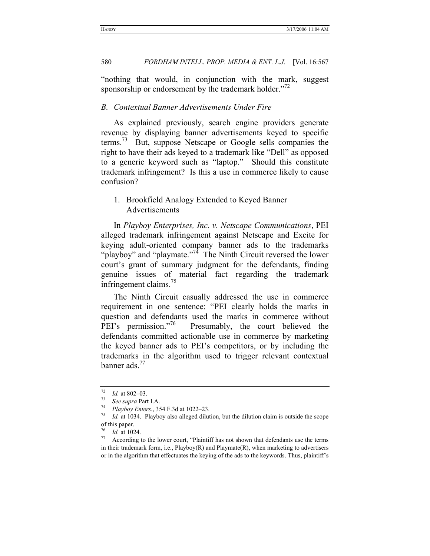"nothing that would, in conjunction with the mark, suggest sponsorship or endorsement by the trademark holder."<sup>72</sup>

#### *B. Contextual Banner Advertisements Under Fire*

As explained previously, search engine providers generate revenue by displaying banner advertisements keyed to specific terms.<sup>73</sup> But, suppose Netscape or Google sells companies the right to have their ads keyed to a trademark like "Dell" as opposed to a generic keyword such as "laptop." Should this constitute trademark infringement? Is this a use in commerce likely to cause confusion?

# 1. Brookfield Analogy Extended to Keyed Banner Advertisements

In *Playboy Enterprises, Inc. v. Netscape Communications*, PEI alleged trademark infringement against Netscape and Excite for keying adult-oriented company banner ads to the trademarks "playboy" and "playmate."<sup>74</sup> The Ninth Circuit reversed the lower court's grant of summary judgment for the defendants, finding genuine issues of material fact regarding the trademark infringement claims.<sup>75</sup>

The Ninth Circuit casually addressed the use in commerce requirement in one sentence: "PEI clearly holds the marks in question and defendants used the marks in commerce without PEI's permission."<sup>10</sup> Presumably, the court believed the defendants committed actionable use in commerce by marketing the keyed banner ads to PEI's competitors, or by including the trademarks in the algorithm used to trigger relevant contextual banner ads.<sup>77</sup>

<sup>72</sup> *Id.* at 802–03. 73 *See supra* Part I.A. 74 *Playboy Enters*., 354 F.3d at 1022–23. 75 *Id.* at 1034. Playboy also alleged dilution, but the dilution claim is outside the scope of this paper.

<sup>&</sup>lt;sup>76</sup> *Id.* at 1024.<br><sup>77</sup> According to the lower court, "Plaintiff has not shown that defendants use the terms in their trademark form, i.e., Playboy(R) and Playmate(R), when marketing to advertisers or in the algorithm that effectuates the keying of the ads to the keywords. Thus, plaintiff's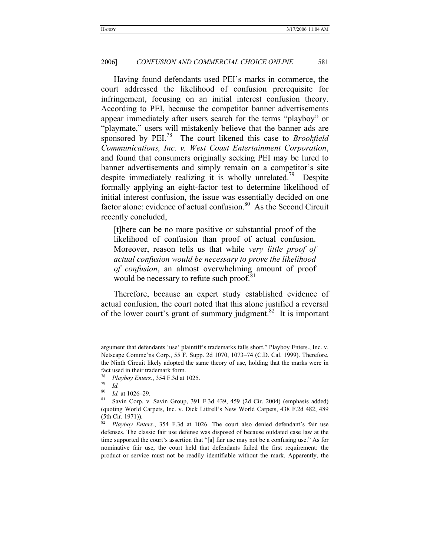Having found defendants used PEI's marks in commerce, the court addressed the likelihood of confusion prerequisite for infringement, focusing on an initial interest confusion theory. According to PEI, because the competitor banner advertisements appear immediately after users search for the terms "playboy" or "playmate," users will mistakenly believe that the banner ads are sponsored by PEI.<sup>78</sup> The court likened this case to *Brookfield Communications, Inc. v. West Coast Entertainment Corporation*, and found that consumers originally seeking PEI may be lured to banner advertisements and simply remain on a competitor's site despite immediately realizing it is wholly unrelated.<sup>79</sup> Despite formally applying an eight-factor test to determine likelihood of initial interest confusion, the issue was essentially decided on one factor alone: evidence of actual confusion. $80$  As the Second Circuit recently concluded,

[t]here can be no more positive or substantial proof of the likelihood of confusion than proof of actual confusion. Moreover, reason tells us that while *very little proof of actual confusion would be necessary to prove the likelihood of confusion*, an almost overwhelming amount of proof would be necessary to refute such proof.<sup>81</sup>

Therefore, because an expert study established evidence of actual confusion, the court noted that this alone justified a reversal of the lower court's grant of summary judgment.<sup>82</sup> It is important

argument that defendants 'use' plaintiff's trademarks falls short." Playboy Enters., Inc. v. Netscape Commc'ns Corp., 55 F. Supp. 2d 1070, 1073–74 (C.D. Cal. 1999). Therefore, the Ninth Circuit likely adopted the same theory of use, holding that the marks were in fact used in their trademark form.

<sup>78</sup> *Playboy Enters.*, 354 F.3d at 1025. 79 *Id.*

<sup>80</sup> *Id.* at 1026–29.<br><sup>81</sup> Savin Corp. v. Savin Group, 391 F.3d 439, 459 (2d Cir. 2004) (emphasis added) (quoting World Carpets, Inc. v. Dick Littrell's New World Carpets, 438 F.2d 482, 489 (5th Cir. 1971)).<br> ${}^{82}$   ${}^{D}$   ${}^{D}$   ${}^{D}$   ${}^{D}$   $E$   $E$ 

<sup>82</sup> *Playboy Enters.*, 354 F.3d at 1026. The court also denied defendant's fair use defenses. The classic fair use defense was disposed of because outdated case law at the time supported the court's assertion that "[a] fair use may not be a confusing use." As for nominative fair use, the court held that defendants failed the first requirement: the product or service must not be readily identifiable without the mark. Apparently, the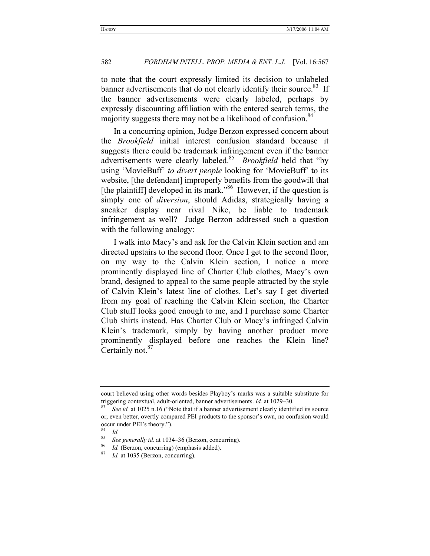to note that the court expressly limited its decision to unlabeled banner advertisements that do not clearly identify their source.<sup>83</sup> If the banner advertisements were clearly labeled, perhaps by expressly discounting affiliation with the entered search terms, the majority suggests there may not be a likelihood of confusion.<sup>84</sup>

In a concurring opinion, Judge Berzon expressed concern about the *Brookfield* initial interest confusion standard because it suggests there could be trademark infringement even if the banner advertisements were clearly labeled.<sup>85</sup> *Brookfield* held that "by using 'MovieBuff' *to divert people* looking for 'MovieBuff' to its website, [the defendant] improperly benefits from the goodwill that [the plaintiff] developed in its mark.<sup>386</sup> However, if the question is simply one of *diversion*, should Adidas, strategically having a sneaker display near rival Nike, be liable to trademark infringement as well? Judge Berzon addressed such a question with the following analogy:

I walk into Macy's and ask for the Calvin Klein section and am directed upstairs to the second floor. Once I get to the second floor, on my way to the Calvin Klein section, I notice a more prominently displayed line of Charter Club clothes, Macy's own brand, designed to appeal to the same people attracted by the style of Calvin Klein's latest line of clothes. Let's say I get diverted from my goal of reaching the Calvin Klein section, the Charter Club stuff looks good enough to me, and I purchase some Charter Club shirts instead. Has Charter Club or Macy's infringed Calvin Klein's trademark, simply by having another product more prominently displayed before one reaches the Klein line? Certainly not.<sup>87</sup>

court believed using other words besides Playboy's marks was a suitable substitute for triggering contextual, adult-oriented, banner advertisements. *Id.* at 1029–30.<br><sup>83</sup> See id. at 1025 n.16 ("Note that if a banner advertisement clearly identified its source

or, even better, overtly compared PEI products to the sponsor's own, no confusion would occur under PEI's theory.").

 $rac{84}{85}$  *Id.* 

<sup>85</sup> *See generally id.* at 1034–36 (Berzon, concurring). 86 *Id.* (Berzon, concurring) (emphasis added). 87 *Id.* at 1035 (Berzon, concurring).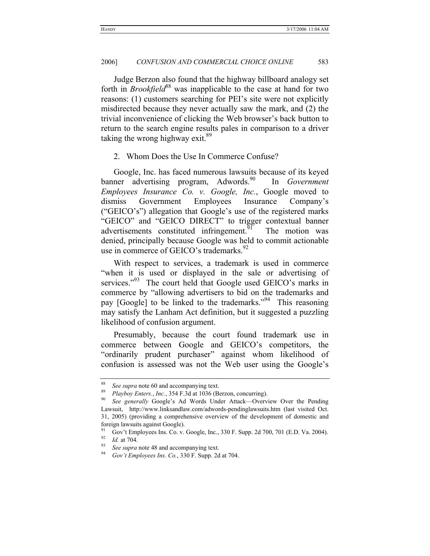Judge Berzon also found that the highway billboard analogy set forth in *Brookfield*<sup>88</sup> was inapplicable to the case at hand for two reasons: (1) customers searching for PEI's site were not explicitly misdirected because they never actually saw the mark, and (2) the trivial inconvenience of clicking the Web browser's back button to return to the search engine results pales in comparison to a driver taking the wrong highway exit. $89$ 

2. Whom Does the Use In Commerce Confuse?

Google, Inc. has faced numerous lawsuits because of its keyed banner advertising program, Adwords.<sup>90</sup> In *Government Employees Insurance Co. v. Google, Inc.*, Google moved to dismiss Government Employees Insurance Company's ("GEICO's") allegation that Google's use of the registered marks "GEICO" and "GEICO DIRECT" to trigger contextual banner advertisements constituted infringement.<sup>91</sup> The motion was denied, principally because Google was held to commit actionable use in commerce of GEICO's trademarks.<sup>92</sup>

With respect to services, a trademark is used in commerce "when it is used or displayed in the sale or advertising of services." $93$  The court held that Google used GEICO's marks in commerce by "allowing advertisers to bid on the trademarks and pay [Google] to be linked to the trademarks."<sup>94</sup> This reasoning may satisfy the Lanham Act definition, but it suggested a puzzling likelihood of confusion argument.

Presumably, because the court found trademark use in commerce between Google and GEICO's competitors, the "ordinarily prudent purchaser" against whom likelihood of confusion is assessed was not the Web user using the Google's

<sup>88</sup> *See supra* note 60 and accompanying text. 89 *Playboy Enters.*, *Inc.*, 354 F.3d at 1036 (Berzon, concurring).

<sup>90</sup> *See generally* Google's Ad Words Under Attack—Overview Over the Pending Lawsuit, http://www.linksandlaw.com/adwords-pendinglawsuits.htm (last visited Oct. 31, 2005) (providing a comprehensive overview of the development of domestic and foreign lawsuits against Google).

<sup>91</sup> Gov't Employees Ins. Co. v. Google, Inc., 330 F. Supp. 2d 700, 701 (E.D. Va. 2004).<br><sup>92</sup> *Id.* at 704.<br><sup>93</sup> *Gee supra* note 48 and accompanying text.<br>*62<sup>9</sup> <i>Gov't Employees Ins. Co.*, 330 F. Supp. 2d at 704.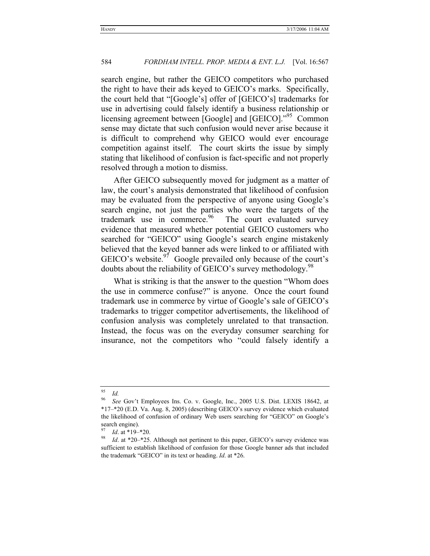search engine, but rather the GEICO competitors who purchased the right to have their ads keyed to GEICO's marks. Specifically, the court held that "[Google's] offer of [GEICO's] trademarks for use in advertising could falsely identify a business relationship or licensing agreement between [Google] and [GEICO]."<sup>95</sup> Common sense may dictate that such confusion would never arise because it is difficult to comprehend why GEICO would ever encourage competition against itself. The court skirts the issue by simply stating that likelihood of confusion is fact-specific and not properly resolved through a motion to dismiss.

After GEICO subsequently moved for judgment as a matter of law, the court's analysis demonstrated that likelihood of confusion may be evaluated from the perspective of anyone using Google's search engine, not just the parties who were the targets of the trademark use in commerce.<sup>96</sup> The court evaluated survey evidence that measured whether potential GEICO customers who searched for "GEICO" using Google's search engine mistakenly believed that the keyed banner ads were linked to or affiliated with GEICO's website. $97$  Google prevailed only because of the court's doubts about the reliability of GEICO's survey methodology.<sup>98</sup>

What is striking is that the answer to the question "Whom does the use in commerce confuse?" is anyone. Once the court found trademark use in commerce by virtue of Google's sale of GEICO's trademarks to trigger competitor advertisements, the likelihood of confusion analysis was completely unrelated to that transaction. Instead, the focus was on the everyday consumer searching for insurance, not the competitors who "could falsely identify a

<sup>95</sup> *Id.*

<sup>96</sup> *See* Gov't Employees Ins. Co. v. Google, Inc., 2005 U.S. Dist. LEXIS 18642, at \*17–\*20 (E.D. Va. Aug. 8, 2005) (describing GEICO's survey evidence which evaluated the likelihood of confusion of ordinary Web users searching for "GEICO" on Google's search engine).

<sup>97</sup> *Id*. at \*19–\*20. 98 *Id*. at \*20–\*25. Although not pertinent to this paper, GEICO's survey evidence was sufficient to establish likelihood of confusion for those Google banner ads that included the trademark "GEICO" in its text or heading. *Id*. at \*26.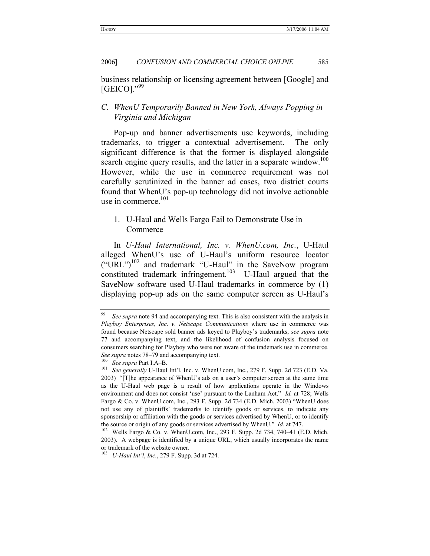business relationship or licensing agreement between [Google] and  $[GEICO].$ <sup>"99</sup>

# *C. WhenU Temporarily Banned in New York, Always Popping in Virginia and Michigan*

Pop-up and banner advertisements use keywords, including trademarks, to trigger a contextual advertisement. The only significant difference is that the former is displayed alongside search engine query results, and the latter in a separate window.<sup>100</sup> However, while the use in commerce requirement was not carefully scrutinized in the banner ad cases, two district courts found that WhenU's pop-up technology did not involve actionable use in commerce.<sup>101</sup>

# 1. U-Haul and Wells Fargo Fail to Demonstrate Use in Commerce

In *U-Haul International, Inc. v. WhenU.com, Inc.*, U-Haul alleged WhenU's use of U-Haul's uniform resource locator  $("URL")<sup>102</sup>$  and trademark "U-Haul" in the SaveNow program constituted trademark infringement.<sup>103</sup> U-Haul argued that the SaveNow software used U-Haul trademarks in commerce by (1) displaying pop-up ads on the same computer screen as U-Haul's

<sup>99</sup> *See supra* note 94 and accompanying text. This is also consistent with the analysis in *Playboy Enterprises*, *Inc. v. Netscape Communications* where use in commerce was found because Netscape sold banner ads keyed to Playboy's trademarks, *see supra* note 77 and accompanying text, and the likelihood of confusion analysis focused on consumers searching for Playboy who were not aware of the trademark use in commerce.

*See supra* notes 78–79 and accompanying text.<br><sup>100</sup> *See supra* Part I.A–B.<br><sup>101</sup> *See generally* U-Haul Int'l, Inc. v. WhenU.com, Inc., 279 F. Supp. 2d 723 (E.D. Va. 2003) "[T]he appearance of WhenU's ads on a user's computer screen at the same time as the U-Haul web page is a result of how applications operate in the Windows environment and does not consist 'use' pursuant to the Lanham Act." *Id.* at 728; Wells Fargo & Co. v. WhenU.com, Inc., 293 F. Supp. 2d 734 (E.D. Mich. 2003) "WhenU does not use any of plaintiffs' trademarks to identify goods or services, to indicate any sponsorship or affiliation with the goods or services advertised by WhenU, or to identify the source or origin of any goods or services advertised by WhenU." *Id.* at 747.<br><sup>102</sup> Wells Fargo & Co. v. WhenU.com, Inc., 293 F. Supp. 2d 734, 740–41 (E.D. Mich.

<sup>2003).</sup> A webpage is identified by a unique URL, which usually incorporates the name or trademark of the website owner. 103 *U-Haul Int'l*, *Inc.*, 279 F. Supp. 3d at 724.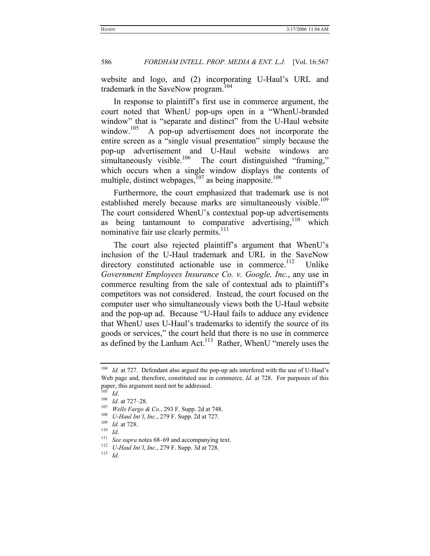website and logo, and (2) incorporating U-Haul's URL and trademark in the SaveNow program.<sup>104</sup>

In response to plaintiff's first use in commerce argument, the court noted that WhenU pop-ups open in a "WhenU-branded window" that is "separate and distinct" from the U-Haul website window.<sup>105</sup> A pop-up advertisement does not incorporate the entire screen as a "single visual presentation" simply because the pop-up advertisement and U-Haul website windows are simultaneously visible.<sup>106</sup> The court distinguished "framing," The court distinguished "framing," which occurs when a single window displays the contents of multiple, distinct webpages, $107$  as being inapposite.<sup>108</sup>

Furthermore, the court emphasized that trademark use is not established merely because marks are simultaneously visible.<sup>109</sup> The court considered WhenU's contextual pop-up advertisements as being tantamount to comparative advertising,  $110$  which nominative fair use clearly permits.<sup>111</sup>

The court also rejected plaintiff's argument that WhenU's inclusion of the U-Haul trademark and URL in the SaveNow directory constituted actionable use in commerce.<sup>112</sup> Unlike *Government Employees Insurance Co. v. Google, Inc.*, any use in commerce resulting from the sale of contextual ads to plaintiff's competitors was not considered. Instead, the court focused on the computer user who simultaneously views both the U-Haul website and the pop-up ad. Because "U-Haul fails to adduce any evidence that WhenU uses U-Haul's trademarks to identify the source of its goods or services," the court held that there is no use in commerce as defined by the Lanham Act.<sup>113</sup> Rather, WhenU "merely uses the

<sup>&</sup>lt;sup>104</sup> *Id.* at 727. Defendant also argued the pop-up ads interfered with the use of U-Haul's Web page and, therefore, constituted use in commerce. *Id*. at 728. For purposes of this paper, this argument need not be addressed.

<sup>&</sup>lt;sup>105</sup> *Id.*<br>
<sup>106</sup> *Id.* at 727–28.<br>
<sup>107</sup> *Wells Fargo & Co.*, 293 F. Supp. 2d at 748.<br>
<sup>108</sup> *U-Haul Int'l, Inc.*, 279 F. Supp. 2d at 727.<br>
<sup>109</sup> *Id.* at 728.<br>
<sup>111</sup> *See supra* notes 68–69 and accompanying text.<br>
<sup>112</sup>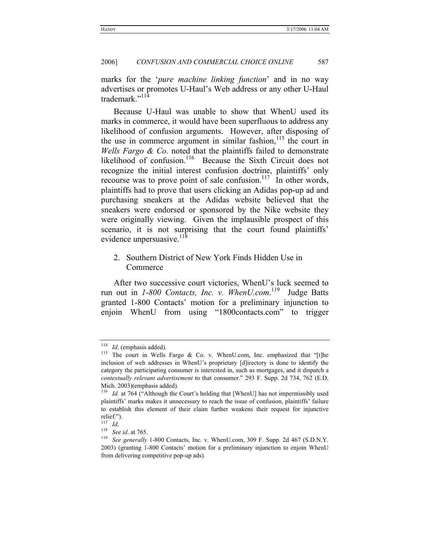marks for the '*pure machine linking function*' and in no way advertises or promotes U-Haul's Web address or any other U-Haul trademark."114

Because U-Haul was unable to show that WhenU used its marks in commerce, it would have been superfluous to address any likelihood of confusion arguments. However, after disposing of the use in commerce argument in similar fashion,  $115$  the court in *Wells Fargo & Co.* noted that the plaintiffs failed to demonstrate likelihood of confusion.<sup>116</sup> Because the Sixth Circuit does not recognize the initial interest confusion doctrine, plaintiffs' only recourse was to prove point of sale confusion.<sup>117</sup> In other words, plaintiffs had to prove that users clicking an Adidas pop-up ad and purchasing sneakers at the Adidas website believed that the sneakers were endorsed or sponsored by the Nike website they were originally viewing. Given the implausible prospect of this scenario, it is not surprising that the court found plaintiffs' evidence unpersuasive. $^{11\bar{8}}$ 

# 2. Southern District of New York Finds Hidden Use in Commerce

After two successive court victories, WhenU's luck seemed to run out in *1-800 Contacts, Inc. v. WhenU.com*. 119 Judge Batts granted 1-800 Contacts' motion for a preliminary injunction to enjoin WhenU from using "1800contacts.com" to trigger

<sup>&</sup>lt;sup>114</sup> *Id*. (emphasis added). <sup>115</sup> The court in Wells Fargo & Co. v. WhenU.com, Inc. emphasized that "[t]he inclusion of web addresses in WhenU's proprietary [d]irectory is done to identify the category the participating consumer is interested in, such as mortgages, and it dispatch a *contextually relevant advertisement* to that consumer." 293 F. Supp. 2d 734, 762 (E.D. Mich. 2003)(emphasis added).

<sup>&</sup>lt;sup>116</sup> *Id.* at 764 ("Although the Court's holding that [WhenU] has not impermissibly used plaintiffs' marks makes it unnecessary to reach the issue of confusion, plaintiffs' failure to establish this element of their claim further weakens their request for injunctive relief.").<br> $\frac{117}{117}$  *Id.* 

<sup>117</sup> *Id*. 118 *See id*. at 765. 119 *See generally* 1-800 Contacts, Inc. v. WhenU.com, 309 F. Supp. 2d 467 (S.D.N.Y. 2003) (granting 1-800 Contacts' motion for a preliminary injunction to enjoin WhenU from delivering competitive pop-up ads).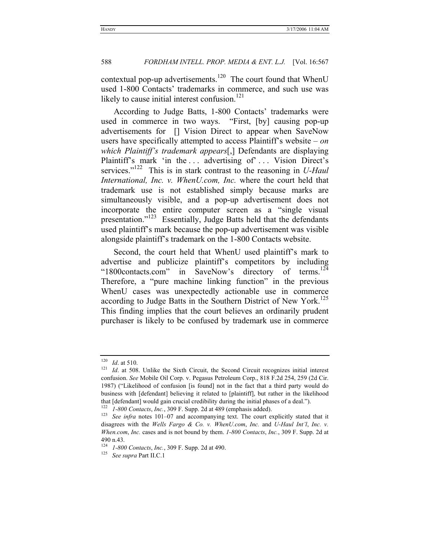contextual pop-up advertisements.<sup>120</sup> The court found that WhenU used 1-800 Contacts' trademarks in commerce, and such use was likely to cause initial interest confusion. $121$ 

According to Judge Batts, 1-800 Contacts' trademarks were used in commerce in two ways. "First, [by] causing pop-up advertisements for [] Vision Direct to appear when SaveNow users have specifically attempted to access Plaintiff's website – *on which Plaintiff's trademark appears*[,] Defendants are displaying Plaintiff's mark 'in the ... advertising of'... Vision Direct's services."<sup>122</sup> This is in stark contrast to the reasoning in *U-Haul International, Inc. v. WhenU.com, Inc.* where the court held that trademark use is not established simply because marks are simultaneously visible, and a pop-up advertisement does not incorporate the entire computer screen as a "single visual presentation."<sup>123</sup> Essentially, Judge Batts held that the defendants used plaintiff's mark because the pop-up advertisement was visible alongside plaintiff's trademark on the 1-800 Contacts website.

Second, the court held that WhenU used plaintiff's mark to advertise and publicize plaintiff's competitors by including<br>"1800contacts.com" in SaveNow's directory of terms.<sup>124</sup> "1800contacts.com" in SaveNow's directory Therefore, a "pure machine linking function" in the previous WhenU cases was unexpectedly actionable use in commerce according to Judge Batts in the Southern District of New York.<sup>125</sup> This finding implies that the court believes an ordinarily prudent purchaser is likely to be confused by trademark use in commerce

<sup>&</sup>lt;sup>120</sup> *Id.* at 510. 121 *Id.* at 508. Unlike the Sixth Circuit, the Second Circuit recognizes initial interest confusion. *See* Mobile Oil Corp. v. Pegasus Petroleum Corp., 818 F.2d 254, 259 (2d Cir. 1987) ("Likelihood of confusion [is found] not in the fact that a third party would do business with [defendant] believing it related to [plaintiff], but rather in the likelihood that [defendant] would gain crucial credibility during the initial phases of a deal.").

<sup>122</sup> *1-800 Contacts*, *Inc.*, 309 F. Supp. 2d at 489 (emphasis added). 123 *See infra* notes 101–07 and accompanying text. The court explicitly stated that it disagrees with the *Wells Fargo & Co. v. WhenU.com*, *Inc.* and *U-Haul Int'l*, *Inc. v. When.com*, *Inc.* cases and is not bound by them. *1-800 Contacts*, *Inc.*, 309 F. Supp. 2d at 490 n.43.

<sup>124</sup> *1-800 Contacts*, *Inc.*, 309 F. Supp. 2d at 490. 125 *See supra* Part II.C.1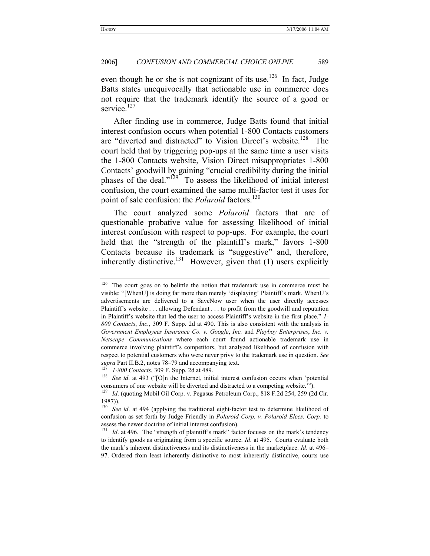even though he or she is not cognizant of its use.<sup>126</sup> In fact, Judge Batts states unequivocally that actionable use in commerce does not require that the trademark identify the source of a good or service.<sup>127</sup>

After finding use in commerce, Judge Batts found that initial interest confusion occurs when potential 1-800 Contacts customers are "diverted and distracted" to Vision Direct's website.<sup>128</sup> The court held that by triggering pop-ups at the same time a user visits the 1-800 Contacts website, Vision Direct misappropriates 1-800 Contacts' goodwill by gaining "crucial credibility during the initial phases of the deal."129 To assess the likelihood of initial interest confusion, the court examined the same multi-factor test it uses for point of sale confusion: the *Polaroid* factors.<sup>130</sup>

The court analyzed some *Polaroid* factors that are of questionable probative value for assessing likelihood of initial interest confusion with respect to pop-ups. For example, the court held that the "strength of the plaintiff's mark," favors 1-800 Contacts because its trademark is "suggestive" and, therefore, inherently distinctive.<sup>131</sup> However, given that  $(1)$  users explicitly

<sup>&</sup>lt;sup>126</sup> The court goes on to belittle the notion that trademark use in commerce must be visible: "[WhenU] is doing far more than merely 'displaying' Plaintiff's mark. WhenU's advertisements are delivered to a SaveNow user when the user directly accesses Plaintiff's website . . . allowing Defendant . . . to profit from the goodwill and reputation in Plaintiff's website that led the user to access Plaintiff's website in the first place." *1- 800 Contacts*, *Inc.*, 309 F. Supp. 2d at 490. This is also consistent with the analysis in *Government Employees Insurance Co. v. Google*, *Inc.* and *Playboy Enterprises*, *Inc. v. Netscape Communications* where each court found actionable trademark use in commerce involving plaintiff's competitors, but analyzed likelihood of confusion with respect to potential customers who were never privy to the trademark use in question. *See supra* Part II.B.2, notes 78–79 and accompanying text. 127 *1-800 Contacts*, 309 F. Supp. 2d at 489.

<sup>128</sup> *See id*. at 493 ("[O]n the Internet, initial interest confusion occurs when 'potential consumers of one website will be diverted and distracted to a competing website.'"). 129 *Id*. (quoting Mobil Oil Corp. v. Pegasus Petroleum Corp., 818 F.2d 254, 259 (2d Cir.

<sup>1987)).</sup> 

<sup>&</sup>lt;sup>130</sup> See id. at 494 (applying the traditional eight-factor test to determine likelihood of confusion as set forth by Judge Friendly in *Polaroid Corp. v. Polaroid Elecs. Corp.* to assess the newer doctrine of initial interest confusion).

<sup>&</sup>lt;sup>131</sup> *Id.* at 496. The "strength of plaintiff's mark" factor focuses on the mark's tendency to identify goods as originating from a specific source. *Id*. at 495. Courts evaluate both the mark's inherent distinctiveness and its distinctiveness in the marketplace. *Id*. at 496– 97. Ordered from least inherently distinctive to most inherently distinctive, courts use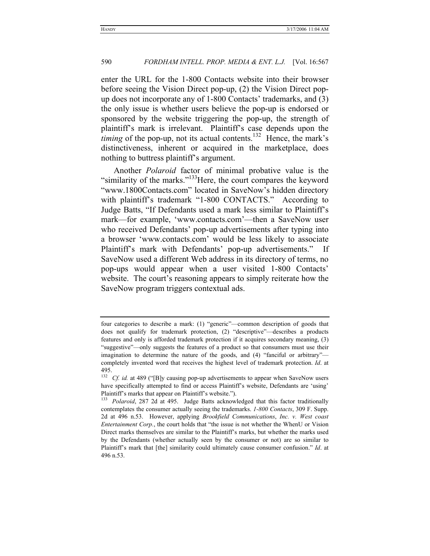enter the URL for the 1-800 Contacts website into their browser before seeing the Vision Direct pop-up, (2) the Vision Direct popup does not incorporate any of 1-800 Contacts' trademarks, and (3) the only issue is whether users believe the pop-up is endorsed or sponsored by the website triggering the pop-up, the strength of plaintiff's mark is irrelevant. Plaintiff's case depends upon the *timing* of the pop-up, not its actual contents.<sup>132</sup> Hence, the mark's distinctiveness, inherent or acquired in the marketplace, does nothing to buttress plaintiff's argument.

Another *Polaroid* factor of minimal probative value is the "similarity of the marks."<sup>133</sup>Here, the court compares the keyword "www.1800Contacts.com" located in SaveNow's hidden directory with plaintiff's trademark "1-800 CONTACTS." According to Judge Batts, "If Defendants used a mark less similar to Plaintiff's mark—for example, 'www.contacts.com'—then a SaveNow user who received Defendants' pop-up advertisements after typing into a browser 'www.contacts.com' would be less likely to associate Plaintiff's mark with Defendants' pop-up advertisements." If SaveNow used a different Web address in its directory of terms, no pop-ups would appear when a user visited 1-800 Contacts' website. The court's reasoning appears to simply reiterate how the SaveNow program triggers contextual ads.

four categories to describe a mark: (1) "generic"—common description of goods that does not qualify for trademark protection, (2) "descriptive"—describes a products features and only is afforded trademark protection if it acquires secondary meaning, (3) "suggestive"—only suggests the features of a product so that consumers must use their imagination to determine the nature of the goods, and (4) "fanciful or arbitrary" completely invented word that receives the highest level of trademark protection. *Id*. at 495.

<sup>&</sup>lt;sup>132</sup> Cf. id. at 489 ("[B]y causing pop-up advertisements to appear when SaveNow users have specifically attempted to find or access Plaintiff's website, Defendants are 'using' Plaintiff's marks that appear on Plaintiff's website.").

<sup>&</sup>lt;sup>133</sup> Polaroid, 287 2d at 495. Judge Batts acknowledged that this factor traditionally contemplates the consumer actually seeing the trademarks. *1-800 Contacts*, 309 F. Supp. 2d at 496 n.53. However, applying *Brookfield Communications*, *Inc. v. West coast Entertainment Corp.*, the court holds that "the issue is not whether the WhenU or Vision Direct marks themselves are similar to the Plaintiff's marks, but whether the marks used by the Defendants (whether actually seen by the consumer or not) are so similar to Plaintiff's mark that [the] similarity could ultimately cause consumer confusion." *Id*. at 496 n.53.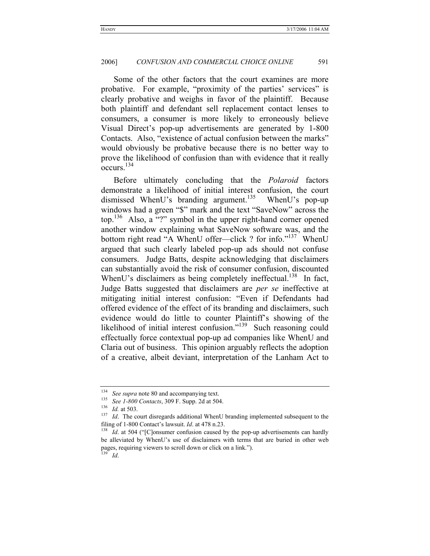Some of the other factors that the court examines are more probative. For example, "proximity of the parties' services" is clearly probative and weighs in favor of the plaintiff. Because both plaintiff and defendant sell replacement contact lenses to consumers, a consumer is more likely to erroneously believe Visual Direct's pop-up advertisements are generated by 1-800 Contacts. Also, "existence of actual confusion between the marks" would obviously be probative because there is no better way to prove the likelihood of confusion than with evidence that it really occurs.134

Before ultimately concluding that the *Polaroid* factors demonstrate a likelihood of initial interest confusion, the court dismissed WhenU's branding argument.<sup>135</sup> WhenU's pop-up windows had a green "\$" mark and the text "SaveNow" across the top.<sup>136</sup> Also, a "?" symbol in the upper right-hand corner opened another window explaining what SaveNow software was, and the bottom right read "A WhenU offer—click ? for info."<sup>137</sup> WhenU argued that such clearly labeled pop-up ads should not confuse consumers. Judge Batts, despite acknowledging that disclaimers can substantially avoid the risk of consumer confusion, discounted WhenU's disclaimers as being completely ineffectual.<sup>138</sup> In fact, Judge Batts suggested that disclaimers are *per se* ineffective at mitigating initial interest confusion: "Even if Defendants had offered evidence of the effect of its branding and disclaimers, such evidence would do little to counter Plaintiff's showing of the likelihood of initial interest confusion."<sup>139</sup> Such reasoning could effectually force contextual pop-up ad companies like WhenU and Claria out of business. This opinion arguably reflects the adoption of a creative, albeit deviant, interpretation of the Lanham Act to

<sup>&</sup>lt;sup>134</sup> See *supra* note 80 and accompanying text.<br><sup>135</sup> See 1-800 Contacts, 309 F. Supp. 2d at 504.<br><sup>136</sup> Id. at 503.

<sup>&</sup>lt;sup>136</sup> *Id.* at 503.<br><sup>137</sup> *Id.* The court disregards additional WhenU branding implemented subsequent to the filing of 1-800 Contact's lawsuit. *Id*. at 478 n.23.<br><sup>138</sup> *Id*. at 504 ("[C]onsumer confusion caused by the pop-up advertisements can hardly

be alleviated by WhenU's use of disclaimers with terms that are buried in other web pages, requiring viewers to scroll down or click on a link."). <sup>139</sup> *Id*.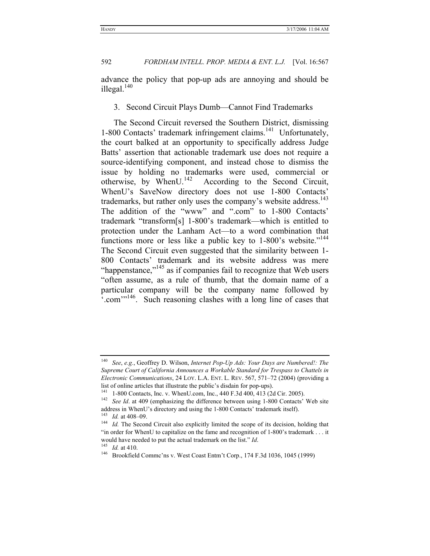advance the policy that pop-up ads are annoying and should be illegal. $140$ 

3. Second Circuit Plays Dumb—Cannot Find Trademarks

The Second Circuit reversed the Southern District, dismissing  $1-800$  Contacts' trademark infringement claims.<sup>141</sup> Unfortunately, the court balked at an opportunity to specifically address Judge Batts' assertion that actionable trademark use does not require a source-identifying component, and instead chose to dismiss the issue by holding no trademarks were used, commercial or otherwise, by WhenU.<sup>142</sup> According to the Second Circuit, According to the Second Circuit, WhenU's SaveNow directory does not use 1-800 Contacts' trademarks, but rather only uses the company's website address.<sup>143</sup> The addition of the "www" and ".com" to 1-800 Contacts' trademark "transform[s] 1-800's trademark—which is entitled to protection under the Lanham Act—to a word combination that functions more or less like a public key to  $1-800$ 's website."<sup>144</sup> The Second Circuit even suggested that the similarity between 1- 800 Contacts' trademark and its website address was mere "happenstance,"<sup>145</sup> as if companies fail to recognize that Web users "often assume, as a rule of thumb, that the domain name of a particular company will be the company name followed by ".com"<sup>146</sup>. Such reasoning clashes with a long line of cases that

<sup>140</sup> *See*, *e.g.*, Geoffrey D. Wilson, *Internet Pop-Up Ads: Your Days are Numbered!: The Supreme Court of California Announces a Workable Standard for Trespass to Chattels in Electronic Communications*, 24 LOY. L.A. ENT. L. REV. 567, 571–72 (2004) (providing a list of online articles that illustrate the public's disdain for pop-ups).<br><sup>141</sup> 1-800 Contacts, Inc. v. WhenU.com, Inc., 440 F.3d 400, 413 (2d Cir. 2005).

<sup>&</sup>lt;sup>142</sup> See Id. at 409 (emphasizing the difference between using 1-800 Contacts' Web site address in WhenU's directory and using the 1-800 Contacts' trademark itself).  $^{143}$  *Id.* at 408–09.

<sup>&</sup>lt;sup>144</sup> *Id.* The Second Circuit also explicitly limited the scope of its decision, holding that "in order for WhenU to capitalize on the fame and recognition of 1-800's trademark . . . it would have needed to put the actual trademark on the list." *Id.*<br><sup>145</sup> *Id.* at 410.<br><sup>146</sup> Brookfield Commc'ns v. West Coast Entm't Corp., 174 F.3d 1036, 1045 (1999)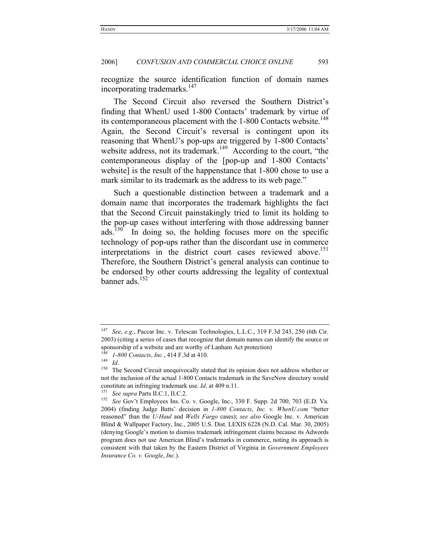recognize the source identification function of domain names incorporating trademarks.<sup>147</sup>

The Second Circuit also reversed the Southern District's finding that WhenU used 1-800 Contacts' trademark by virtue of its contemporaneous placement with the 1-800 Contacts website.<sup>148</sup> Again, the Second Circuit's reversal is contingent upon its reasoning that WhenU's pop-ups are triggered by 1-800 Contacts' website address, not its trademark.<sup>149</sup> According to the court, "the contemporaneous display of the [pop-up and 1-800 Contacts' website] is the result of the happenstance that 1-800 chose to use a mark similar to its trademark as the address to its web page."

Such a questionable distinction between a trademark and a domain name that incorporates the trademark highlights the fact that the Second Circuit painstakingly tried to limit its holding to the pop-up cases without interfering with those addressing banner ads.<sup>150</sup> In doing so, the holding focuses more on the specific technology of pop-ups rather than the discordant use in commerce interpretations in the district court cases reviewed above.<sup>151</sup> Therefore, the Southern District's general analysis can continue to be endorsed by other courts addressing the legality of contextual banner ads.152

<sup>147</sup> *See*, *e.g.*, Paccar Inc. v. Telescan Technologies, L.L.C., 319 F.3d 243, 250 (6th Cir. 2003) (citing a series of cases that recognize that domain names can identify the source or sponsorship of a website and are worthy of Lanham Act protection)<br>  $^{148}$  1-800 Contacts, Inc., 414 F.3d at 410.<br>  $^{149}$  Id.<br>
The Second Circuit unequivocally stated that its opinion does not address whether or

not the inclusion of the actual 1-800 Contacts trademark in the SaveNow directory would constitute an infringing trademark use. *Id.* at 409 n.11.<br><sup>151</sup> See *supra* Parts II.C.1, II.C.2.<br><sup>152</sup> See Gov't Employees Ins. Co. v. Google, Inc., 330 F. Supp. 2d 700, 703 (E.D. Va.

<sup>2004) (</sup>finding Judge Batts' decision in *1-800 Contacts*, *Inc. v. WhenU.com* "better reasoned" than the *U-Haul* and *Wells Fargo* cases); *see also* Google Inc. v. American Blind & Wallpaper Factory, Inc., 2005 U.S. Dist. LEXIS 6228 (N.D. Cal. Mar. 30, 2005) (denying Google's motion to dismiss trademark infringement claims because its Adwords program does not use American Blind's trademarks in commerce, noting its approach is consistent with that taken by the Eastern District of Virginia in *Government Employees Insurance Co. v. Google*, *Inc.*).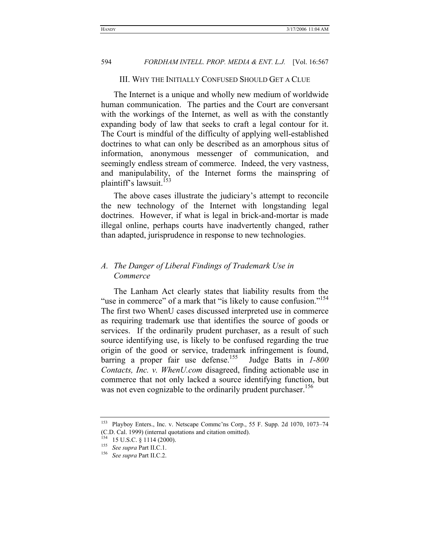#### III. WHY THE INITIALLY CONFUSED SHOULD GET A CLUE

The Internet is a unique and wholly new medium of worldwide human communication. The parties and the Court are conversant with the workings of the Internet, as well as with the constantly expanding body of law that seeks to craft a legal contour for it. The Court is mindful of the difficulty of applying well-established doctrines to what can only be described as an amorphous situs of information, anonymous messenger of communication, and seemingly endless stream of commerce. Indeed, the very vastness, and manipulability, of the Internet forms the mainspring of plaintiff's lawsuit.<sup>153</sup>

The above cases illustrate the judiciary's attempt to reconcile the new technology of the Internet with longstanding legal doctrines. However, if what is legal in brick-and-mortar is made illegal online, perhaps courts have inadvertently changed, rather than adapted, jurisprudence in response to new technologies.

# *A. The Danger of Liberal Findings of Trademark Use in Commerce*

The Lanham Act clearly states that liability results from the "use in commerce" of a mark that "is likely to cause confusion."<sup>154</sup> The first two WhenU cases discussed interpreted use in commerce as requiring trademark use that identifies the source of goods or services. If the ordinarily prudent purchaser, as a result of such source identifying use, is likely to be confused regarding the true origin of the good or service, trademark infringement is found, barring a proper fair use defense.<sup>155</sup> Judge Batts in *1-800 Contacts, Inc. v. WhenU.com* disagreed, finding actionable use in commerce that not only lacked a source identifying function, but was not even cognizable to the ordinarily prudent purchaser.<sup>156</sup>

<sup>153</sup> Playboy Enters., Inc. v. Netscape Commc'ns Corp., 55 F. Supp. 2d 1070, 1073–74 (C.D. Cal. 1999) (internal quotations and citation omitted).<br> $^{154}$  15 U.S.C. § 1114 (2000).

<sup>&</sup>lt;sup>155</sup> See supra Part II.C.1.<br><sup>156</sup> See supra Part II.C.2.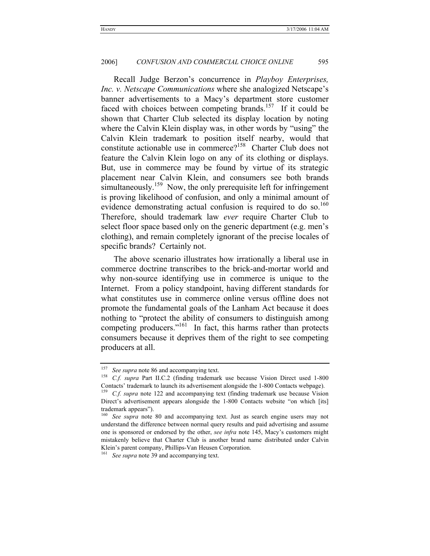Recall Judge Berzon's concurrence in *Playboy Enterprises, Inc. v. Netscape Communications* where she analogized Netscape's banner advertisements to a Macy's department store customer faced with choices between competing brands.<sup>157</sup> If it could be shown that Charter Club selected its display location by noting where the Calvin Klein display was, in other words by "using" the Calvin Klein trademark to position itself nearby, would that constitute actionable use in commerce?<sup>158</sup> Charter Club does not feature the Calvin Klein logo on any of its clothing or displays. But, use in commerce may be found by virtue of its strategic placement near Calvin Klein, and consumers see both brands simultaneously.<sup>159</sup> Now, the only prerequisite left for infringement is proving likelihood of confusion, and only a minimal amount of evidence demonstrating actual confusion is required to do so.<sup>160</sup> Therefore, should trademark law *ever* require Charter Club to select floor space based only on the generic department (e.g. men's clothing), and remain completely ignorant of the precise locales of specific brands? Certainly not.

The above scenario illustrates how irrationally a liberal use in commerce doctrine transcribes to the brick-and-mortar world and why non-source identifying use in commerce is unique to the Internet. From a policy standpoint, having different standards for what constitutes use in commerce online versus offline does not promote the fundamental goals of the Lanham Act because it does nothing to "protect the ability of consumers to distinguish among competing producers."<sup>161</sup> In fact, this harms rather than protects consumers because it deprives them of the right to see competing producers at all.

<sup>&</sup>lt;sup>157</sup> See supra note 86 and accompanying text.<br><sup>158</sup> C.f. supra Part II.C.2 (finding trademark use because Vision Direct used 1-800 Contacts' trademark to launch its advertisement alongside the 1-800 Contacts webpage). 159 *C.f. supra* note 122 and accompanying text (finding trademark use because Vision

Direct's advertisement appears alongside the 1-800 Contacts website "on which [its] trademark appears").

<sup>160</sup> *See supra* note 80 and accompanying text. Just as search engine users may not understand the difference between normal query results and paid advertising and assume one is sponsored or endorsed by the other, *see infra* note 145, Macy's customers might mistakenly believe that Charter Club is another brand name distributed under Calvin Klein's parent company, Phillips-Van Heusen Corporation.

<sup>&</sup>lt;sup>161</sup> See supra note 39 and accompanying text.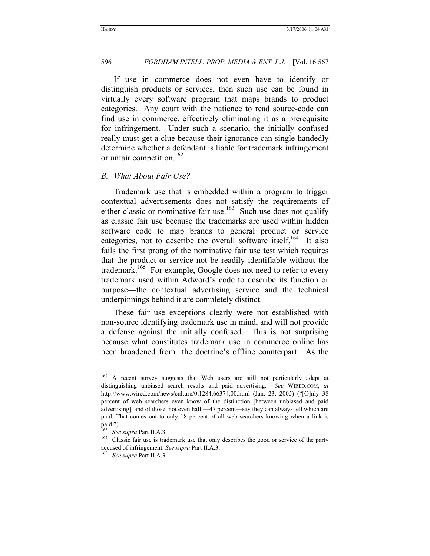If use in commerce does not even have to identify or distinguish products or services, then such use can be found in virtually every software program that maps brands to product categories. Any court with the patience to read source-code can find use in commerce, effectively eliminating it as a prerequisite for infringement. Under such a scenario, the initially confused really must get a clue because their ignorance can single-handedly determine whether a defendant is liable for trademark infringement or unfair competition.<sup>162</sup>

#### *B. What About Fair Use?*

Trademark use that is embedded within a program to trigger contextual advertisements does not satisfy the requirements of either classic or nominative fair use.<sup>163</sup> Such use does not qualify as classic fair use because the trademarks are used within hidden software code to map brands to general product or service categories, not to describe the overall software itself,<sup>164</sup> It also fails the first prong of the nominative fair use test which requires that the product or service not be readily identifiable without the trademark.<sup>165</sup> For example, Google does not need to refer to every trademark used within Adword's code to describe its function or purpose—the contextual advertising service and the technical underpinnings behind it are completely distinct.

These fair use exceptions clearly were not established with non-source identifying trademark use in mind, and will not provide a defense against the initially confused. This is not surprising because what constitutes trademark use in commerce online has been broadened from the doctrine's offline counterpart. As the

<sup>&</sup>lt;sup>162</sup> A recent survey suggests that Web users are still not particularly adept at distinguishing unbiased search results and paid advertising. *See* WIRED.COM, *at* http://www.wired.com/news/culture/0,1284,66374,00.html (Jan. 23, 2005) ("[O]nly 38 percent of web searchers even know of the distinction [between unbiased and paid advertising], and of those, not even half —47 percent—say they can always tell which are paid. That comes out to only 18 percent of all web searchers knowing when a link is paid.").<br><sup>163</sup> See supra Part II.A.3.

<sup>&</sup>lt;sup>164</sup> Classic fair use is trademark use that only describes the good or service of the party accused of infringement. *See supra* Part II.A.3. 165 *See supra* Part II.A.3.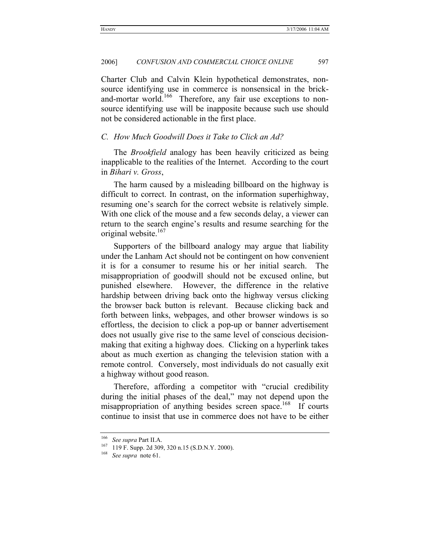Charter Club and Calvin Klein hypothetical demonstrates, nonsource identifying use in commerce is nonsensical in the brickand-mortar world.<sup>166</sup> Therefore, any fair use exceptions to nonsource identifying use will be inapposite because such use should not be considered actionable in the first place.

## *C. How Much Goodwill Does it Take to Click an Ad?*

The *Brookfield* analogy has been heavily criticized as being inapplicable to the realities of the Internet. According to the court in *Bihari v. Gross*,

The harm caused by a misleading billboard on the highway is difficult to correct. In contrast, on the information superhighway, resuming one's search for the correct website is relatively simple. With one click of the mouse and a few seconds delay, a viewer can return to the search engine's results and resume searching for the original website.<sup>167</sup>

Supporters of the billboard analogy may argue that liability under the Lanham Act should not be contingent on how convenient it is for a consumer to resume his or her initial search. The misappropriation of goodwill should not be excused online, but punished elsewhere. However, the difference in the relative hardship between driving back onto the highway versus clicking the browser back button is relevant. Because clicking back and forth between links, webpages, and other browser windows is so effortless, the decision to click a pop-up or banner advertisement does not usually give rise to the same level of conscious decisionmaking that exiting a highway does. Clicking on a hyperlink takes about as much exertion as changing the television station with a remote control. Conversely, most individuals do not casually exit a highway without good reason.

Therefore, affording a competitor with "crucial credibility during the initial phases of the deal," may not depend upon the misappropriation of anything besides screen space.<sup>168</sup> If courts continue to insist that use in commerce does not have to be either

<sup>166</sup> *See supra* Part II.A. 167 119 F. Supp. 2d 309, 320 n.15 (S.D.N.Y. 2000). 168 *See supra* note 61.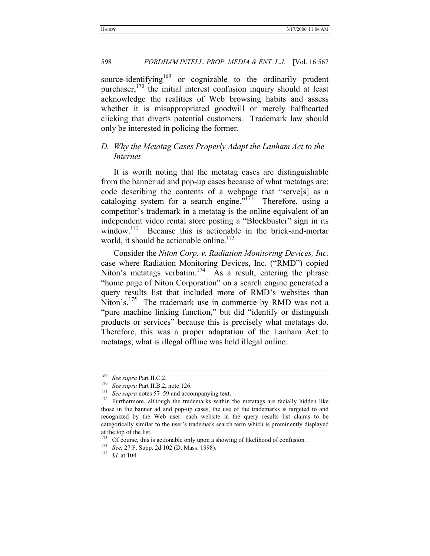source-identifying<sup>169</sup> or cognizable to the ordinarily prudent purchaser,<sup>170</sup> the initial interest confusion inquiry should at least acknowledge the realities of Web browsing habits and assess whether it is misappropriated goodwill or merely halfhearted clicking that diverts potential customers. Trademark law should only be interested in policing the former.

# *D. Why the Metatag Cases Properly Adapt the Lanham Act to the Internet*

It is worth noting that the metatag cases are distinguishable from the banner ad and pop-up cases because of what metatags are: code describing the contents of a webpage that "serve[s] as a cataloging system for a search engine.<sup> $517\overline{1}$ </sup> Therefore, using a competitor's trademark in a metatag is the online equivalent of an independent video rental store posting a "Blockbuster" sign in its window.<sup>172</sup> Because this is actionable in the brick-and-mortar world, it should be actionable online.<sup>173</sup>

Consider the *Niton Corp. v. Radiation Monitoring Devices, Inc.* case where Radiation Monitoring Devices, Inc. ("RMD") copied Niton's metatags verbatim.<sup>174</sup> As a result, entering the phrase "home page of Niton Corporation" on a search engine generated a query results list that included more of RMD's websites than Niton's.<sup>175</sup> The trademark use in commerce by RMD was not a "pure machine linking function," but did "identify or distinguish products or services" because this is precisely what metatags do. Therefore, this was a proper adaptation of the Lanham Act to metatags; what is illegal offline was held illegal online.

<sup>&</sup>lt;sup>169</sup> See supra Part II.C.2.<br><sup>170</sup> See supra Part II.B.2, note 126.<br><sup>171</sup> See supra notes 57–59 and accompanying text.<br><sup>172</sup> Furthermore, although the trademarks within the metatags are facially hidden like those in the banner ad and pop-up cases, the use of the trademarks is targeted to and recognized by the Web user: each website in the query results list claims to be categorically similar to the user's trademark search term which is prominently displayed at the top of the list.

<sup>173</sup> Of course, this is actionable only upon a showing of likelihood of confusion. 174 *See*, 27 F. Supp. 2d 102 (D. Mass. 1998). 175 *Id*. at 104.